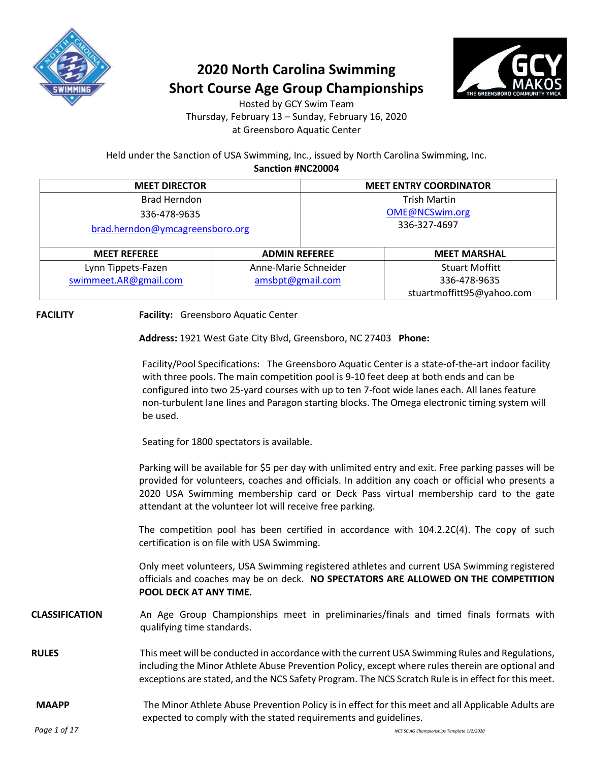

## **2020 North Carolina Swimming Short Course Age Group Championships**



Hosted by GCY Swim Team Thursday, February 13 – Sunday, February 16, 2020 at Greensboro Aquatic Center

Held under the Sanction of USA Swimming, Inc., issued by North Carolina Swimming, Inc. **Sanction #NC20004**

| <b>MEET DIRECTOR</b>            |                      | <b>MEET ENTRY COORDINATOR</b> |                           |  |
|---------------------------------|----------------------|-------------------------------|---------------------------|--|
| <b>Brad Herndon</b>             |                      | <b>Trish Martin</b>           |                           |  |
| 336-478-9635                    |                      | OME@NCSwim.org                |                           |  |
| brad.herndon@ymcagreensboro.org |                      | 336-327-4697                  |                           |  |
| <b>MEET REFEREE</b>             | <b>ADMIN REFEREE</b> |                               | <b>MEET MARSHAL</b>       |  |
| Lynn Tippets-Fazen              | Anne-Marie Schneider |                               | <b>Stuart Moffitt</b>     |  |
| swimmeet.AR@gmail.com           | amsbpt@gmail.com     |                               | 336-478-9635              |  |
|                                 |                      |                               | stuartmoffitt95@yahoo.com |  |

**FACILITY Facility:** Greensboro Aquatic Center

**Address:** 1921 West Gate City Blvd, Greensboro, NC 27403 **Phone:**

Facility/Pool Specifications: The Greensboro Aquatic Center is a state-of-the-art indoor facility with three pools. The main competition pool is 9-10 feet deep at both ends and can be configured into two 25-yard courses with up to ten 7-foot wide lanes each. All lanes feature non-turbulent lane lines and Paragon starting blocks. The Omega electronic timing system will be used.

Seating for 1800 spectators is available.

Parking will be available for \$5 per day with unlimited entry and exit. Free parking passes will be provided for volunteers, coaches and officials. In addition any coach or official who presents a 2020 USA Swimming membership card or Deck Pass virtual membership card to the gate attendant at the volunteer lot will receive free parking.

The competition pool has been certified in accordance with 104.2.2C(4). The copy of such certification is on file with USA Swimming.

Only meet volunteers, USA Swimming registered athletes and current USA Swimming registered officials and coaches may be on deck. **NO SPECTATORS ARE ALLOWED ON THE COMPETITION POOL DECK AT ANY TIME.**

#### **CLASSIFICATION** An Age Group Championships meet in preliminaries/finals and timed finals formats with qualifying time standards.

**RULES** This meet will be conducted in accordance with the current USA Swimming Rules and Regulations, including the Minor Athlete Abuse Prevention Policy, except where rules therein are optional and exceptions are stated, and the NCS Safety Program. The NCS Scratch Rule is in effect for this meet.

#### **MAAPP** The Minor Athlete Abuse Prevention Policy is in effect for this meet and all Applicable Adults are expected to comply with the stated requirements and guidelines.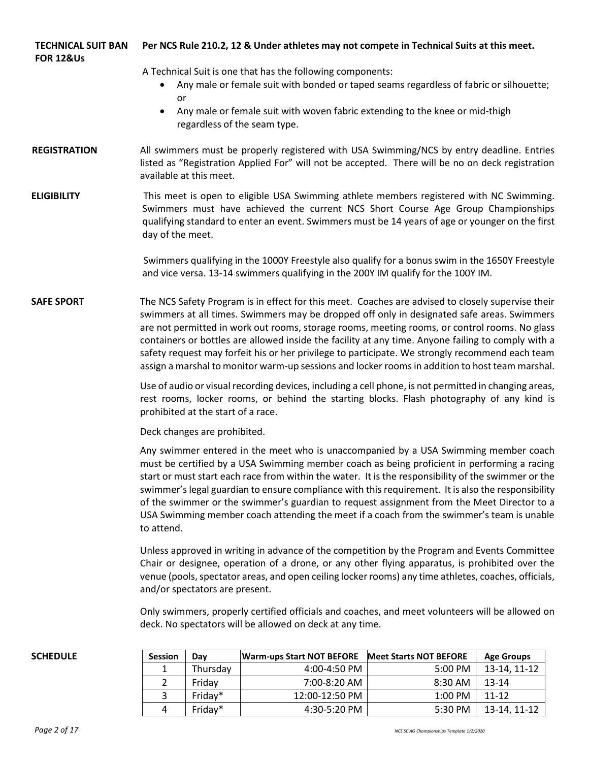| TECHNICAL SUIT BAN | Per NCS Rule 210.2, 12 & Under athletes may not compete in Technical Suits at this meet. |
|--------------------|------------------------------------------------------------------------------------------|
| FOR 12&Us          |                                                                                          |

A Technical Suit is one that has the following components:

- Any male or female suit with bonded or taped seams regardless of fabric or silhouette; or
- Any male or female suit with woven fabric extending to the knee or mid-thigh regardless of the seam type.
- **REGISTRATION** All swimmers must be properly registered with USA Swimming/NCS by entry deadline. Entries listed as "Registration Applied For" will not be accepted. There will be no on deck registration available at this meet.
- **ELIGIBILITY** This meet is open to eligible USA Swimming athlete members registered with NC Swimming. Swimmers must have achieved the current NCS Short Course Age Group Championships qualifying standard to enter an event. Swimmers must be 14 years of age or younger on the first day of the meet.

Swimmers qualifying in the 1000Y Freestyle also qualify for a bonus swim in the 1650Y Freestyle and vice versa. 13-14 swimmers qualifying in the 200Y IM qualify for the 100Y IM.

**SAFE SPORT** The NCS Safety Program is in effect for this meet. Coaches are advised to closely supervise their swimmers at all times. Swimmers may be dropped off only in designated safe areas. Swimmers are not permitted in work out rooms, storage rooms, meeting rooms, or control rooms. No glass containers or bottles are allowed inside the facility at any time. Anyone failing to comply with a safety request may forfeit his or her privilege to participate. We strongly recommend each team assign a marshal to monitor warm-up sessions and locker rooms in addition to host team marshal.

> Use of audio or visual recording devices, including a cell phone, is not permitted in changing areas, rest rooms, locker rooms, or behind the starting blocks. Flash photography of any kind is prohibited at the start of a race.

Deck changes are prohibited.

Any swimmer entered in the meet who is unaccompanied by a USA Swimming member coach must be certified by a USA Swimming member coach as being proficient in performing a racing start or must start each race from within the water. It is the responsibility of the swimmer or the swimmer's legal guardian to ensure compliance with this requirement. It is also the responsibility of the swimmer or the swimmer's guardian to request assignment from the Meet Director to a USA Swimming member coach attending the meet if a coach from the swimmer's team is unable to attend.

Unless approved in writing in advance of the competition by the Program and Events Committee Chair or designee, operation of a drone, or any other flying apparatus, is prohibited over the venue (pools, spectator areas, and open ceiling locker rooms) any time athletes, coaches, officials, and/or spectators are present.

Only swimmers, properly certified officials and coaches, and meet volunteers will be allowed on deck. No spectators will be allowed on deck at any time.

| SCHEDULE | <b>Session</b> | Dav      | Warm-ups Start NOT BEFORE | <b>Meet Starts NOT BEFORE</b> | <b>Age Groups</b> |
|----------|----------------|----------|---------------------------|-------------------------------|-------------------|
|          |                | Thursdav | $4:00-4:50$ PM            | 5:00 PM                       | 13-14, 11-12      |
|          |                | Fridav   | 7:00-8:20 AM              | 8:30 AM                       | $13 - 14$         |
|          |                | Friday*  | 12:00-12:50 PM            | $1:00$ PM                     | $11 - 12$         |
|          |                | Friday*  | 4:30-5:20 PM              | 5:30 PM                       | 13-14, 11-12      |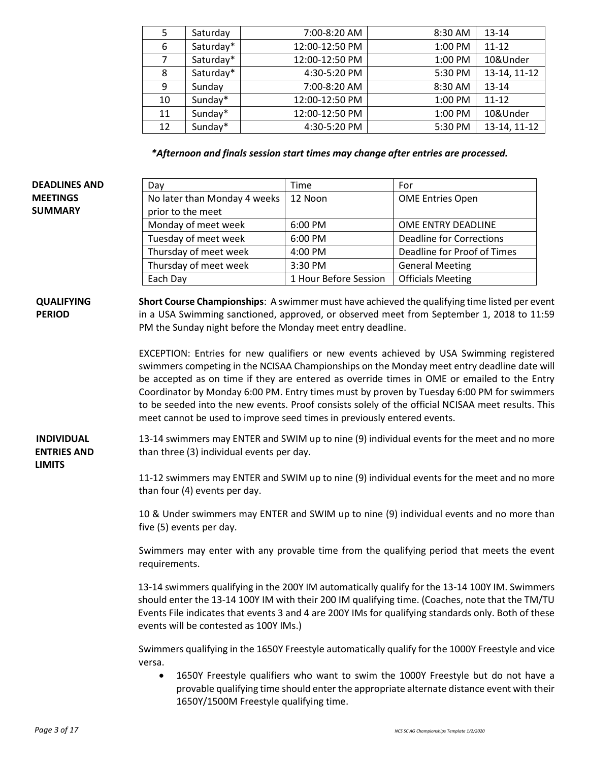| 5              | Saturday  | 7:00-8:20 AM   | 8:30 AM | 13-14        |
|----------------|-----------|----------------|---------|--------------|
| 6              | Saturday* | 12:00-12:50 PM | 1:00 PM | $11 - 12$    |
| $\overline{7}$ | Saturday* | 12:00-12:50 PM | 1:00 PM | 10&Under     |
| 8              | Saturday* | 4:30-5:20 PM   | 5:30 PM | 13-14, 11-12 |
| 9              | Sunday    | 7:00-8:20 AM   | 8:30 AM | 13-14        |
| 10             | Sunday*   | 12:00-12:50 PM | 1:00 PM | $11 - 12$    |
| 11             | Sunday*   | 12:00-12:50 PM | 1:00 PM | 10&Under     |
| 12             | Sunday*   | 4:30-5:20 PM   | 5:30 PM | 13-14, 11-12 |

*\*Afternoon and finals session start times may change after entries are processed.* 

| <b>DEADLINES AND</b>                                     | Day                                                                                                                                                                                                                                                                                                                                                                                                                                                                                                                                                               | Time                                                                                                                                                                                                                                                                                                                                               | For                                                                                                                                                                                       |  |  |  |  |  |
|----------------------------------------------------------|-------------------------------------------------------------------------------------------------------------------------------------------------------------------------------------------------------------------------------------------------------------------------------------------------------------------------------------------------------------------------------------------------------------------------------------------------------------------------------------------------------------------------------------------------------------------|----------------------------------------------------------------------------------------------------------------------------------------------------------------------------------------------------------------------------------------------------------------------------------------------------------------------------------------------------|-------------------------------------------------------------------------------------------------------------------------------------------------------------------------------------------|--|--|--|--|--|
| <b>MEETINGS</b><br><b>SUMMARY</b>                        | No later than Monday 4 weeks<br>prior to the meet                                                                                                                                                                                                                                                                                                                                                                                                                                                                                                                 | 12 Noon                                                                                                                                                                                                                                                                                                                                            | <b>OME Entries Open</b>                                                                                                                                                                   |  |  |  |  |  |
|                                                          | Monday of meet week                                                                                                                                                                                                                                                                                                                                                                                                                                                                                                                                               | 6:00 PM                                                                                                                                                                                                                                                                                                                                            | OME ENTRY DEADLINE                                                                                                                                                                        |  |  |  |  |  |
|                                                          | Tuesday of meet week                                                                                                                                                                                                                                                                                                                                                                                                                                                                                                                                              | 6:00 PM                                                                                                                                                                                                                                                                                                                                            | <b>Deadline for Corrections</b>                                                                                                                                                           |  |  |  |  |  |
|                                                          | Thursday of meet week                                                                                                                                                                                                                                                                                                                                                                                                                                                                                                                                             | 4:00 PM                                                                                                                                                                                                                                                                                                                                            | Deadline for Proof of Times                                                                                                                                                               |  |  |  |  |  |
|                                                          | Thursday of meet week                                                                                                                                                                                                                                                                                                                                                                                                                                                                                                                                             | 3:30 PM                                                                                                                                                                                                                                                                                                                                            | <b>General Meeting</b>                                                                                                                                                                    |  |  |  |  |  |
|                                                          | Each Day                                                                                                                                                                                                                                                                                                                                                                                                                                                                                                                                                          | 1 Hour Before Session                                                                                                                                                                                                                                                                                                                              | <b>Officials Meeting</b>                                                                                                                                                                  |  |  |  |  |  |
| <b>QUALIFYING</b><br><b>PERIOD</b>                       | PM the Sunday night before the Monday meet entry deadline.                                                                                                                                                                                                                                                                                                                                                                                                                                                                                                        |                                                                                                                                                                                                                                                                                                                                                    | Short Course Championships: A swimmer must have achieved the qualifying time listed per event<br>in a USA Swimming sanctioned, approved, or observed meet from September 1, 2018 to 11:59 |  |  |  |  |  |
|                                                          | EXCEPTION: Entries for new qualifiers or new events achieved by USA Swimming registered<br>swimmers competing in the NCISAA Championships on the Monday meet entry deadline date will<br>be accepted as on time if they are entered as override times in OME or emailed to the Entry<br>Coordinator by Monday 6:00 PM. Entry times must by proven by Tuesday 6:00 PM for swimmers<br>to be seeded into the new events. Proof consists solely of the official NCISAA meet results. This<br>meet cannot be used to improve seed times in previously entered events. |                                                                                                                                                                                                                                                                                                                                                    |                                                                                                                                                                                           |  |  |  |  |  |
| <b>INDIVIDUAL</b><br><b>ENTRIES AND</b><br><b>LIMITS</b> | 13-14 swimmers may ENTER and SWIM up to nine (9) individual events for the meet and no more<br>than three (3) individual events per day.                                                                                                                                                                                                                                                                                                                                                                                                                          |                                                                                                                                                                                                                                                                                                                                                    |                                                                                                                                                                                           |  |  |  |  |  |
|                                                          | 11-12 swimmers may ENTER and SWIM up to nine (9) individual events for the meet and no more<br>than four (4) events per day.                                                                                                                                                                                                                                                                                                                                                                                                                                      |                                                                                                                                                                                                                                                                                                                                                    |                                                                                                                                                                                           |  |  |  |  |  |
|                                                          | 10 & Under swimmers may ENTER and SWIM up to nine (9) individual events and no more than<br>five (5) events per day.                                                                                                                                                                                                                                                                                                                                                                                                                                              |                                                                                                                                                                                                                                                                                                                                                    |                                                                                                                                                                                           |  |  |  |  |  |
|                                                          | Swimmers may enter with any provable time from the qualifying period that meets the event<br>requirements.                                                                                                                                                                                                                                                                                                                                                                                                                                                        |                                                                                                                                                                                                                                                                                                                                                    |                                                                                                                                                                                           |  |  |  |  |  |
|                                                          |                                                                                                                                                                                                                                                                                                                                                                                                                                                                                                                                                                   | 13-14 swimmers qualifying in the 200Y IM automatically qualify for the 13-14 100Y IM. Swimmers<br>should enter the 13-14 100Y IM with their 200 IM qualifying time. (Coaches, note that the TM/TU<br>Events File indicates that events 3 and 4 are 200Y IMs for qualifying standards only. Both of these<br>events will be contested as 100Y IMs.) |                                                                                                                                                                                           |  |  |  |  |  |
|                                                          | Swimmers qualifying in the 1650Y Freestyle automatically qualify for the 1000Y Freestyle and vice<br>versa.<br>1650Y Freestyle qualifiers who want to swim the 1000Y Freestyle but do not have a<br>$\bullet$<br>provable qualifying time should enter the appropriate alternate distance event with their                                                                                                                                                                                                                                                        |                                                                                                                                                                                                                                                                                                                                                    |                                                                                                                                                                                           |  |  |  |  |  |

1650Y/1500M Freestyle qualifying time.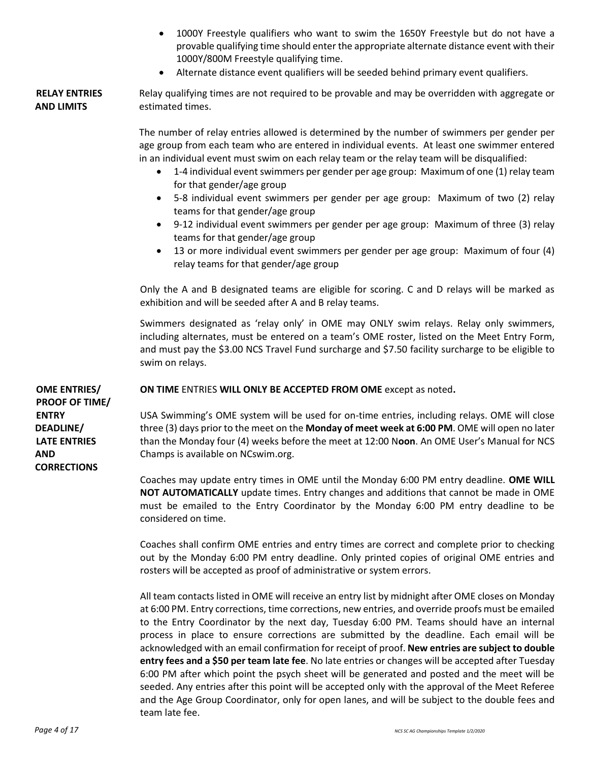- 1000Y Freestyle qualifiers who want to swim the 1650Y Freestyle but do not have a provable qualifying time should enter the appropriate alternate distance event with their 1000Y/800M Freestyle qualifying time.
- Alternate distance event qualifiers will be seeded behind primary event qualifiers.

#### **RELAY ENTRIES AND LIMITS** Relay qualifying times are not required to be provable and may be overridden with aggregate or estimated times.

The number of relay entries allowed is determined by the number of swimmers per gender per age group from each team who are entered in individual events. At least one swimmer entered in an individual event must swim on each relay team or the relay team will be disqualified:

- 1-4 individual event swimmers per gender per age group: Maximum of one (1) relay team for that gender/age group
- 5-8 individual event swimmers per gender per age group: Maximum of two (2) relay teams for that gender/age group
- 9-12 individual event swimmers per gender per age group: Maximum of three (3) relay teams for that gender/age group
- 13 or more individual event swimmers per gender per age group: Maximum of four (4) relay teams for that gender/age group

Only the A and B designated teams are eligible for scoring. C and D relays will be marked as exhibition and will be seeded after A and B relay teams.

Swimmers designated as 'relay only' in OME may ONLY swim relays. Relay only swimmers, including alternates, must be entered on a team's OME roster, listed on the Meet Entry Form, and must pay the \$3.00 NCS Travel Fund surcharge and \$7.50 facility surcharge to be eligible to swim on relays.

**OME ENTRIES/ PROOF OF TIME/ ENTRY DEADLINE/ LATE ENTRIES AND CORRECTIONS**

**ON TIME** ENTRIES **WILL ONLY BE ACCEPTED FROM OME** except as noted**.**

USA Swimming's OME system will be used for on-time entries, including relays. OME will close three (3) days prior to the meet on the **Monday of meet week at 6:00 PM**. OME will open no later than the Monday four (4) weeks before the meet at 12:00 N**oon**. An OME User's Manual for NCS Champs is available on NCswim.org.

Coaches may update entry times in OME until the Monday 6:00 PM entry deadline. **OME WILL NOT AUTOMATICALLY** update times. Entry changes and additions that cannot be made in OME must be emailed to the Entry Coordinator by the Monday 6:00 PM entry deadline to be considered on time.

Coaches shall confirm OME entries and entry times are correct and complete prior to checking out by the Monday 6:00 PM entry deadline. Only printed copies of original OME entries and rosters will be accepted as proof of administrative or system errors.

All team contacts listed in OME will receive an entry list by midnight after OME closes on Monday at 6:00 PM. Entry corrections, time corrections, new entries, and override proofs must be emailed to the Entry Coordinator by the next day, Tuesday 6:00 PM. Teams should have an internal process in place to ensure corrections are submitted by the deadline. Each email will be acknowledged with an email confirmation for receipt of proof. **New entries are subject to double entry fees and a \$50 per team late fee**. No late entries or changes will be accepted after Tuesday 6:00 PM after which point the psych sheet will be generated and posted and the meet will be seeded. Any entries after this point will be accepted only with the approval of the Meet Referee and the Age Group Coordinator, only for open lanes, and will be subject to the double fees and team late fee.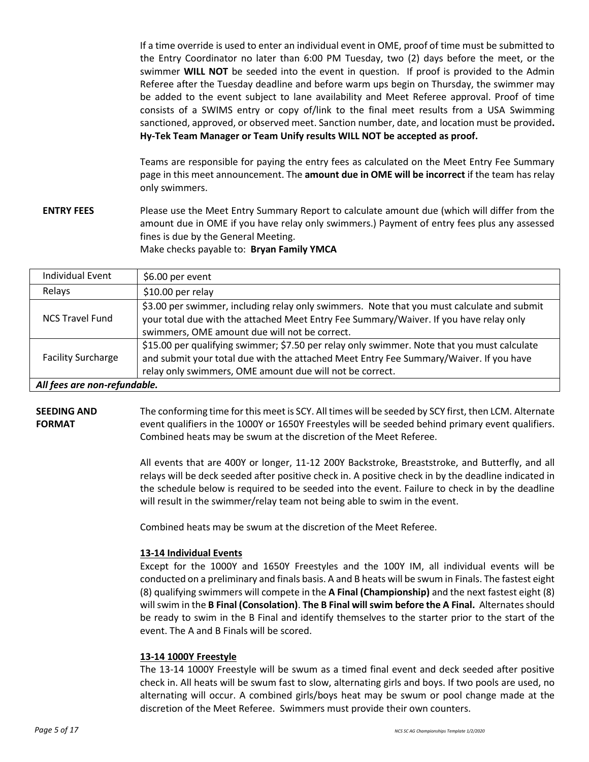If a time override is used to enter an individual event in OME, proof of time must be submitted to the Entry Coordinator no later than 6:00 PM Tuesday, two (2) days before the meet, or the swimmer **WILL NOT** be seeded into the event in question. If proof is provided to the Admin Referee after the Tuesday deadline and before warm ups begin on Thursday, the swimmer may be added to the event subject to lane availability and Meet Referee approval. Proof of time consists of a SWIMS entry or copy of/link to the final meet results from a USA Swimming sanctioned, approved, or observed meet. Sanction number, date, and location must be provided**. Hy-Tek Team Manager or Team Unify results WILL NOT be accepted as proof.**

Teams are responsible for paying the entry fees as calculated on the Meet Entry Fee Summary page in this meet announcement. The **amount due in OME will be incorrect** if the team has relay only swimmers.

**ENTRY FEES** Please use the Meet Entry Summary Report to calculate amount due (which will differ from the amount due in OME if you have relay only swimmers.) Payment of entry fees plus any assessed fines is due by the General Meeting. Make checks payable to: **Bryan Family YMCA**

| <b>Individual Event</b>      | \$6.00 per event                                                                                                                                                                                                                                  |  |  |  |
|------------------------------|---------------------------------------------------------------------------------------------------------------------------------------------------------------------------------------------------------------------------------------------------|--|--|--|
| Relays                       | $$10.00$ per relay                                                                                                                                                                                                                                |  |  |  |
| <b>NCS Travel Fund</b>       | \$3.00 per swimmer, including relay only swimmers. Note that you must calculate and submit<br>your total due with the attached Meet Entry Fee Summary/Waiver. If you have relay only<br>swimmers, OME amount due will not be correct.             |  |  |  |
| <b>Facility Surcharge</b>    | \$15.00 per qualifying swimmer; \$7.50 per relay only swimmer. Note that you must calculate<br>and submit your total due with the attached Meet Entry Fee Summary/Waiver. If you have<br>relay only swimmers, OME amount due will not be correct. |  |  |  |
| All fees are non-refundable. |                                                                                                                                                                                                                                                   |  |  |  |

**SEEDING AND FORMAT** The conforming time for this meet is SCY. All times will be seeded by SCY first, then LCM. Alternate event qualifiers in the 1000Y or 1650Y Freestyles will be seeded behind primary event qualifiers. Combined heats may be swum at the discretion of the Meet Referee.

> All events that are 400Y or longer, 11-12 200Y Backstroke, Breaststroke, and Butterfly, and all relays will be deck seeded after positive check in. A positive check in by the deadline indicated in the schedule below is required to be seeded into the event. Failure to check in by the deadline will result in the swimmer/relay team not being able to swim in the event.

Combined heats may be swum at the discretion of the Meet Referee.

#### **13-14 Individual Events**

Except for the 1000Y and 1650Y Freestyles and the 100Y IM, all individual events will be conducted on a preliminary and finals basis. A and B heats will be swum in Finals. The fastest eight (8) qualifying swimmers will compete in the **A Final (Championship)** and the next fastest eight (8) will swim in the **B Final (Consolation)**. **The B Final will swim before the A Final.** Alternates should be ready to swim in the B Final and identify themselves to the starter prior to the start of the event. The A and B Finals will be scored.

#### **13-14 1000Y Freestyle**

The 13-14 1000Y Freestyle will be swum as a timed final event and deck seeded after positive check in. All heats will be swum fast to slow, alternating girls and boys. If two pools are used, no alternating will occur. A combined girls/boys heat may be swum or pool change made at the discretion of the Meet Referee. Swimmers must provide their own counters.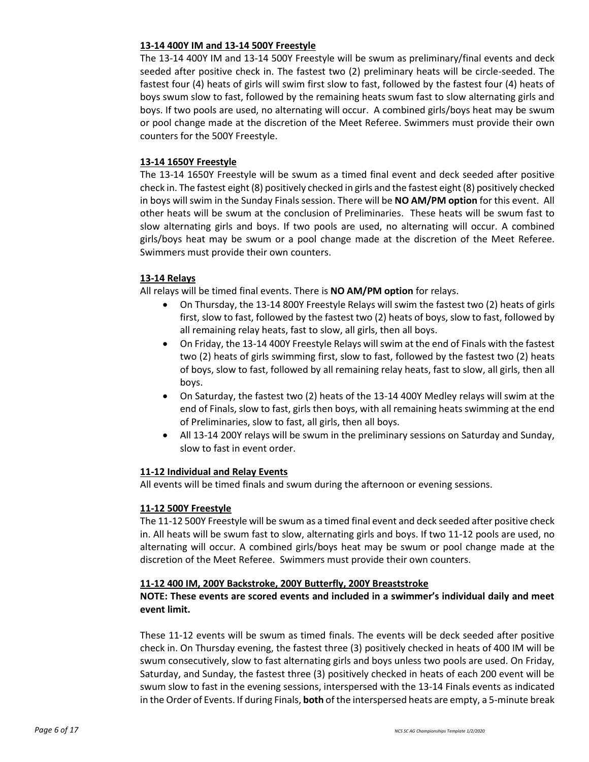#### **13-14 400Y IM and 13-14 500Y Freestyle**

The 13-14 400Y IM and 13-14 500Y Freestyle will be swum as preliminary/final events and deck seeded after positive check in. The fastest two (2) preliminary heats will be circle-seeded. The fastest four (4) heats of girls will swim first slow to fast, followed by the fastest four (4) heats of boys swum slow to fast, followed by the remaining heats swum fast to slow alternating girls and boys. If two pools are used, no alternating will occur. A combined girls/boys heat may be swum or pool change made at the discretion of the Meet Referee. Swimmers must provide their own counters for the 500Y Freestyle.

#### **13-14 1650Y Freestyle**

The 13-14 1650Y Freestyle will be swum as a timed final event and deck seeded after positive check in. The fastest eight (8) positively checked in girls and the fastest eight (8) positively checked in boys will swim in the Sunday Finals session. There will be **NO AM/PM option** for this event. All other heats will be swum at the conclusion of Preliminaries. These heats will be swum fast to slow alternating girls and boys. If two pools are used, no alternating will occur. A combined girls/boys heat may be swum or a pool change made at the discretion of the Meet Referee. Swimmers must provide their own counters.

#### **13-14 Relays**

All relays will be timed final events. There is **NO AM/PM option** for relays.

- On Thursday, the 13-14 800Y Freestyle Relays will swim the fastest two (2) heats of girls first, slow to fast, followed by the fastest two (2) heats of boys, slow to fast, followed by all remaining relay heats, fast to slow, all girls, then all boys.
- On Friday, the 13-14 400Y Freestyle Relays will swim at the end of Finals with the fastest two (2) heats of girls swimming first, slow to fast, followed by the fastest two (2) heats of boys, slow to fast, followed by all remaining relay heats, fast to slow, all girls, then all boys.
- On Saturday, the fastest two (2) heats of the 13-14 400Y Medley relays will swim at the end of Finals, slow to fast, girls then boys, with all remaining heats swimming at the end of Preliminaries, slow to fast, all girls, then all boys.
- All 13-14 200Y relays will be swum in the preliminary sessions on Saturday and Sunday, slow to fast in event order.

#### **11-12 Individual and Relay Events**

All events will be timed finals and swum during the afternoon or evening sessions.

#### **11-12 500Y Freestyle**

The 11-12 500Y Freestyle will be swum as a timed final event and deck seeded after positive check in. All heats will be swum fast to slow, alternating girls and boys. If two 11-12 pools are used, no alternating will occur. A combined girls/boys heat may be swum or pool change made at the discretion of the Meet Referee. Swimmers must provide their own counters.

#### **11-12 400 IM, 200Y Backstroke, 200Y Butterfly, 200Y Breaststroke**

#### **NOTE: These events are scored events and included in a swimmer's individual daily and meet event limit.**

These 11-12 events will be swum as timed finals. The events will be deck seeded after positive check in. On Thursday evening, the fastest three (3) positively checked in heats of 400 IM will be swum consecutively, slow to fast alternating girls and boys unless two pools are used. On Friday, Saturday, and Sunday, the fastest three (3) positively checked in heats of each 200 event will be swum slow to fast in the evening sessions, interspersed with the 13-14 Finals events as indicated in the Order of Events. If during Finals, **both** of the interspersed heats are empty, a 5-minute break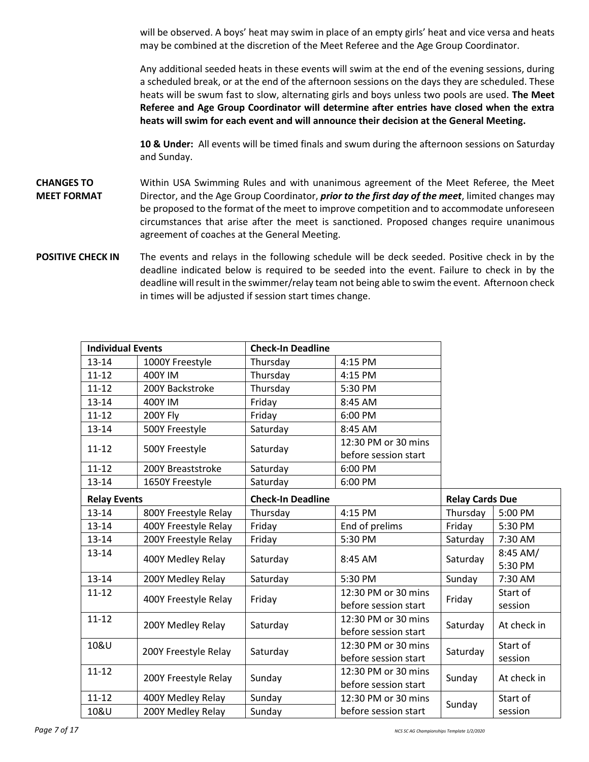will be observed. A boys' heat may swim in place of an empty girls' heat and vice versa and heats may be combined at the discretion of the Meet Referee and the Age Group Coordinator.

Any additional seeded heats in these events will swim at the end of the evening sessions, during a scheduled break, or at the end of the afternoon sessions on the days they are scheduled. These heats will be swum fast to slow, alternating girls and boys unless two pools are used. **The Meet Referee and Age Group Coordinator will determine after entries have closed when the extra heats will swim for each event and will announce their decision at the General Meeting.**

**10 & Under:** All events will be timed finals and swum during the afternoon sessions on Saturday and Sunday.

- **CHANGES TO MEET FORMAT**  Within USA Swimming Rules and with unanimous agreement of the Meet Referee, the Meet Director, and the Age Group Coordinator, *prior to the first day of the meet*, limited changes may be proposed to the format of the meet to improve competition and to accommodate unforeseen circumstances that arise after the meet is sanctioned. Proposed changes require unanimous agreement of coaches at the General Meeting.
- **POSITIVE CHECK IN** The events and relays in the following schedule will be deck seeded. Positive check in by the deadline indicated below is required to be seeded into the event. Failure to check in by the deadline will result in the swimmer/relay team not being able to swim the event. Afternoon check in times will be adjusted if session start times change.

| <b>Individual Events</b> |                      | <b>Check-In Deadline</b> |                      |                        |             |
|--------------------------|----------------------|--------------------------|----------------------|------------------------|-------------|
| $13 - 14$                | 1000Y Freestyle      | Thursday                 | 4:15 PM              |                        |             |
| $11 - 12$                | 400Y IM              | Thursday                 | 4:15 PM              |                        |             |
| $11 - 12$                | 200Y Backstroke      | Thursday                 | 5:30 PM              |                        |             |
| 13-14                    | <b>400Y IM</b>       | Friday                   | 8:45 AM              |                        |             |
| $11 - 12$                | 200Y Fly             | Friday                   | 6:00 PM              |                        |             |
| $13 - 14$                | 500Y Freestyle       | Saturday                 | 8:45 AM              |                        |             |
| $11 - 12$                | 500Y Freestyle       | Saturday                 | 12:30 PM or 30 mins  |                        |             |
|                          |                      |                          | before session start |                        |             |
| $11 - 12$                | 200Y Breaststroke    | Saturday                 | 6:00 PM              |                        |             |
| $13 - 14$                | 1650Y Freestyle      | Saturday                 | 6:00 PM              |                        |             |
| <b>Relay Events</b>      |                      | <b>Check-In Deadline</b> |                      | <b>Relay Cards Due</b> |             |
| $13 - 14$                | 800Y Freestyle Relay | Thursday                 | 4:15 PM              | Thursday               | 5:00 PM     |
| $13 - 14$                | 400Y Freestyle Relay | Friday                   | End of prelims       | Friday                 | 5:30 PM     |
| 13-14                    | 200Y Freestyle Relay | Friday                   | 5:30 PM              | Saturday               | 7:30 AM     |
| 13-14                    | 400Y Medley Relay    | Saturday                 | 8:45 AM              | Saturday               | 8:45 AM/    |
|                          |                      |                          |                      |                        | 5:30 PM     |
| $13 - 14$                | 200Y Medley Relay    | Saturday                 | 5:30 PM              | Sunday                 | 7:30 AM     |
| $11 - 12$                | 400Y Freestyle Relay | Friday                   | 12:30 PM or 30 mins  | Friday                 | Start of    |
|                          |                      |                          | before session start |                        | session     |
| $11 - 12$                | 200Y Medley Relay    | Saturday                 | 12:30 PM or 30 mins  | Saturday               | At check in |
|                          |                      |                          | before session start |                        |             |
| 10&U                     | 200Y Freestyle Relay | Saturday                 | 12:30 PM or 30 mins  | Saturday               | Start of    |
|                          |                      |                          | before session start |                        | session     |
| $11 - 12$                | 200Y Freestyle Relay | Sunday                   | 12:30 PM or 30 mins  | Sunday                 | At check in |
|                          |                      |                          | before session start |                        |             |
| $11 - 12$                | 400Y Medley Relay    | Sunday                   | 12:30 PM or 30 mins  | Sunday                 | Start of    |
| 10&U                     | 200Y Medley Relay    | Sunday                   | before session start |                        | session     |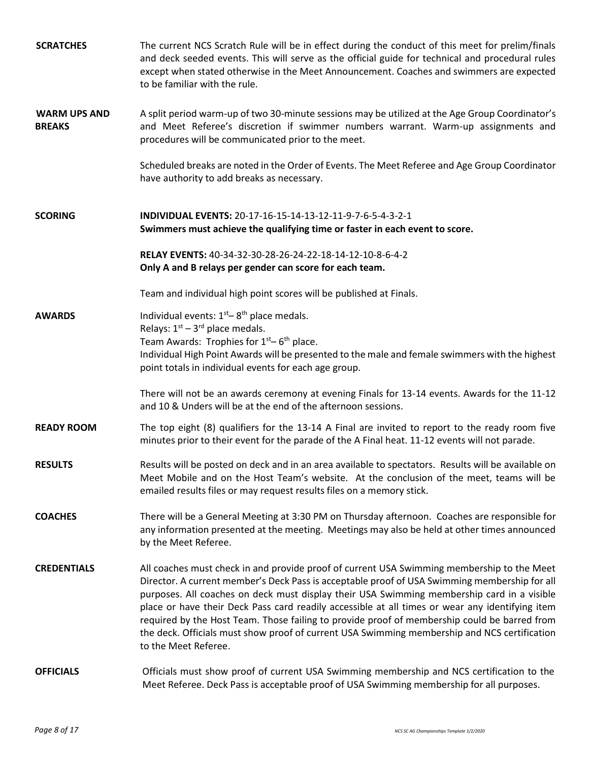| <b>SCRATCHES</b>                     | The current NCS Scratch Rule will be in effect during the conduct of this meet for prelim/finals<br>and deck seeded events. This will serve as the official guide for technical and procedural rules<br>except when stated otherwise in the Meet Announcement. Coaches and swimmers are expected<br>to be familiar with the rule.                                                                                                                                                                                                                                                                                    |
|--------------------------------------|----------------------------------------------------------------------------------------------------------------------------------------------------------------------------------------------------------------------------------------------------------------------------------------------------------------------------------------------------------------------------------------------------------------------------------------------------------------------------------------------------------------------------------------------------------------------------------------------------------------------|
| <b>WARM UPS AND</b><br><b>BREAKS</b> | A split period warm-up of two 30-minute sessions may be utilized at the Age Group Coordinator's<br>and Meet Referee's discretion if swimmer numbers warrant. Warm-up assignments and<br>procedures will be communicated prior to the meet.                                                                                                                                                                                                                                                                                                                                                                           |
|                                      | Scheduled breaks are noted in the Order of Events. The Meet Referee and Age Group Coordinator<br>have authority to add breaks as necessary.                                                                                                                                                                                                                                                                                                                                                                                                                                                                          |
| <b>SCORING</b>                       | INDIVIDUAL EVENTS: 20-17-16-15-14-13-12-11-9-7-6-5-4-3-2-1<br>Swimmers must achieve the qualifying time or faster in each event to score.                                                                                                                                                                                                                                                                                                                                                                                                                                                                            |
|                                      | RELAY EVENTS: 40-34-32-30-28-26-24-22-18-14-12-10-8-6-4-2<br>Only A and B relays per gender can score for each team.                                                                                                                                                                                                                                                                                                                                                                                                                                                                                                 |
|                                      | Team and individual high point scores will be published at Finals.                                                                                                                                                                                                                                                                                                                                                                                                                                                                                                                                                   |
| <b>AWARDS</b>                        | Individual events: $1st - 8th$ place medals.<br>Relays: $1st - 3rd$ place medals.<br>Team Awards: Trophies for $1st - 6th$ place.<br>Individual High Point Awards will be presented to the male and female swimmers with the highest<br>point totals in individual events for each age group.                                                                                                                                                                                                                                                                                                                        |
|                                      | There will not be an awards ceremony at evening Finals for 13-14 events. Awards for the 11-12<br>and 10 & Unders will be at the end of the afternoon sessions.                                                                                                                                                                                                                                                                                                                                                                                                                                                       |
| <b>READY ROOM</b>                    | The top eight (8) qualifiers for the 13-14 A Final are invited to report to the ready room five<br>minutes prior to their event for the parade of the A Final heat. 11-12 events will not parade.                                                                                                                                                                                                                                                                                                                                                                                                                    |
| <b>RESULTS</b>                       | Results will be posted on deck and in an area available to spectators. Results will be available on<br>Meet Mobile and on the Host Team's website. At the conclusion of the meet, teams will be<br>emailed results files or may request results files on a memory stick.                                                                                                                                                                                                                                                                                                                                             |
| <b>COACHES</b>                       | There will be a General Meeting at 3:30 PM on Thursday afternoon. Coaches are responsible for<br>any information presented at the meeting. Meetings may also be held at other times announced<br>by the Meet Referee.                                                                                                                                                                                                                                                                                                                                                                                                |
| <b>CREDENTIALS</b>                   | All coaches must check in and provide proof of current USA Swimming membership to the Meet<br>Director. A current member's Deck Pass is acceptable proof of USA Swimming membership for all<br>purposes. All coaches on deck must display their USA Swimming membership card in a visible<br>place or have their Deck Pass card readily accessible at all times or wear any identifying item<br>required by the Host Team. Those failing to provide proof of membership could be barred from<br>the deck. Officials must show proof of current USA Swimming membership and NCS certification<br>to the Meet Referee. |
| <b>OFFICIALS</b>                     | Officials must show proof of current USA Swimming membership and NCS certification to the<br>Meet Referee. Deck Pass is acceptable proof of USA Swimming membership for all purposes.                                                                                                                                                                                                                                                                                                                                                                                                                                |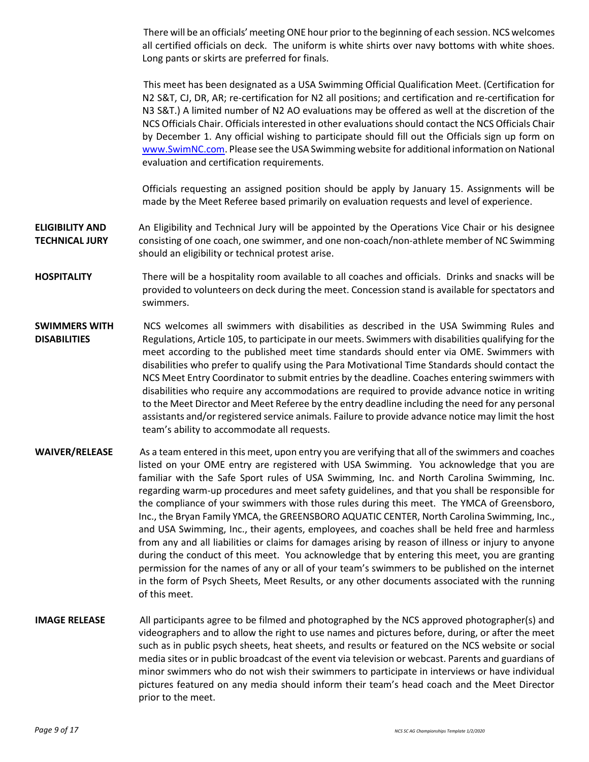There will be an officials' meeting ONE hour prior to the beginning of each session. NCS welcomes all certified officials on deck. The uniform is white shirts over navy bottoms with white shoes. Long pants or skirts are preferred for finals.

This meet has been designated as a USA Swimming Official Qualification Meet. (Certification for N2 S&T, CJ, DR, AR; re-certification for N2 all positions; and certification and re-certification for N3 S&T.) A limited number of N2 AO evaluations may be offered as well at the discretion of the NCS Officials Chair. Officials interested in other evaluations should contact the NCS Officials Chair by December 1. Any official wishing to participate should fill out the Officials sign up form on [www.SwimNC.com.](https://www.swimnc.com/) Please see the USA Swimming website for additional information on National evaluation and certification requirements.

Officials requesting an assigned position should be apply by January 15. Assignments will be made by the Meet Referee based primarily on evaluation requests and level of experience.

**ELIGIBILITY AND TECHNICAL JURY** An Eligibility and Technical Jury will be appointed by the Operations Vice Chair or his designee consisting of one coach, one swimmer, and one non-coach/non-athlete member of NC Swimming should an eligibility or technical protest arise.

- **HOSPITALITY** There will be a hospitality room available to all coaches and officials. Drinks and snacks will be provided to volunteers on deck during the meet. Concession stand is available for spectators and swimmers.
- **SWIMMERS WITH DISABILITIES** NCS welcomes all swimmers with disabilities as described in the USA Swimming Rules and Regulations, Article 105, to participate in our meets. Swimmers with disabilities qualifying for the meet according to the published meet time standards should enter via OME. Swimmers with disabilities who prefer to qualify using the Para Motivational Time Standards should contact the NCS Meet Entry Coordinator to submit entries by the deadline. Coaches entering swimmers with disabilities who require any accommodations are required to provide advance notice in writing to the Meet Director and Meet Referee by the entry deadline including the need for any personal assistants and/or registered service animals. Failure to provide advance notice may limit the host team's ability to accommodate all requests.
- **WAIVER/RELEASE** As a team entered in this meet, upon entry you are verifying that all of the swimmers and coaches listed on your OME entry are registered with USA Swimming. You acknowledge that you are familiar with the Safe Sport rules of USA Swimming, Inc. and North Carolina Swimming, Inc. regarding warm-up procedures and meet safety guidelines, and that you shall be responsible for the compliance of your swimmers with those rules during this meet. The YMCA of Greensboro, Inc., the Bryan Family YMCA, the GREENSBORO AQUATIC CENTER, North Carolina Swimming, Inc., and USA Swimming, Inc., their agents, employees, and coaches shall be held free and harmless from any and all liabilities or claims for damages arising by reason of illness or injury to anyone during the conduct of this meet. You acknowledge that by entering this meet, you are granting permission for the names of any or all of your team's swimmers to be published on the internet in the form of Psych Sheets, Meet Results, or any other documents associated with the running of this meet.
- **IMAGE RELEASE** All participants agree to be filmed and photographed by the NCS approved photographer(s) and videographers and to allow the right to use names and pictures before, during, or after the meet such as in public psych sheets, heat sheets, and results or featured on the NCS website or social media sites or in public broadcast of the event via television or webcast. Parents and guardians of minor swimmers who do not wish their swimmers to participate in interviews or have individual pictures featured on any media should inform their team's head coach and the Meet Director prior to the meet.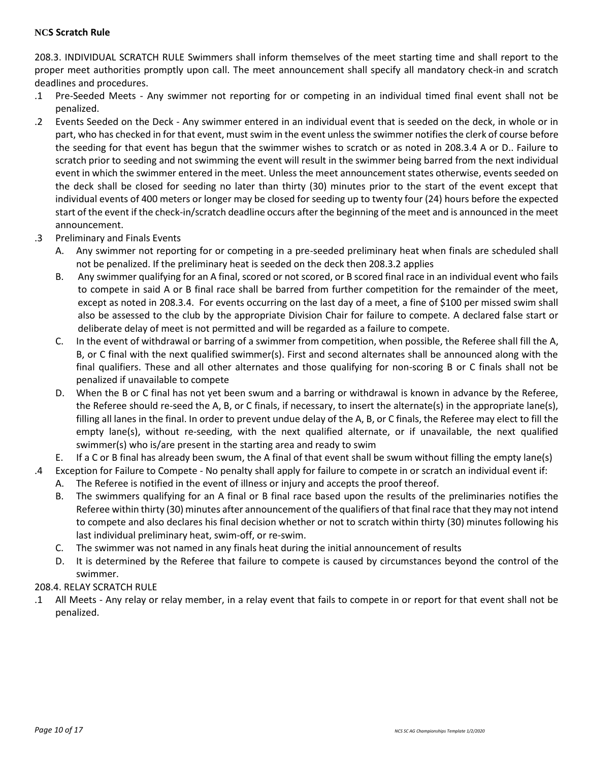#### **NCS Scratch Rule**

208.3. INDIVIDUAL SCRATCH RULE Swimmers shall inform themselves of the meet starting time and shall report to the proper meet authorities promptly upon call. The meet announcement shall specify all mandatory check-in and scratch deadlines and procedures.

- .1 Pre-Seeded Meets Any swimmer not reporting for or competing in an individual timed final event shall not be penalized.
- .2 Events Seeded on the Deck Any swimmer entered in an individual event that is seeded on the deck, in whole or in part, who has checked in for that event, must swim in the event unless the swimmer notifies the clerk of course before the seeding for that event has begun that the swimmer wishes to scratch or as noted in 208.3.4 A or D.. Failure to scratch prior to seeding and not swimming the event will result in the swimmer being barred from the next individual event in which the swimmer entered in the meet. Unless the meet announcement states otherwise, events seeded on the deck shall be closed for seeding no later than thirty (30) minutes prior to the start of the event except that individual events of 400 meters or longer may be closed for seeding up to twenty four (24) hours before the expected start of the event if the check-in/scratch deadline occurs after the beginning of the meet and is announced in the meet announcement.
- .3 Preliminary and Finals Events
	- A. Any swimmer not reporting for or competing in a pre-seeded preliminary heat when finals are scheduled shall not be penalized. If the preliminary heat is seeded on the deck then 208.3.2 applies
	- B. Any swimmer qualifying for an A final, scored or not scored, or B scored final race in an individual event who fails to compete in said A or B final race shall be barred from further competition for the remainder of the meet, except as noted in 208.3.4. For events occurring on the last day of a meet, a fine of \$100 per missed swim shall also be assessed to the club by the appropriate Division Chair for failure to compete. A declared false start or deliberate delay of meet is not permitted and will be regarded as a failure to compete.
	- C. In the event of withdrawal or barring of a swimmer from competition, when possible, the Referee shall fill the A, B, or C final with the next qualified swimmer(s). First and second alternates shall be announced along with the final qualifiers. These and all other alternates and those qualifying for non-scoring B or C finals shall not be penalized if unavailable to compete
	- D. When the B or C final has not yet been swum and a barring or withdrawal is known in advance by the Referee, the Referee should re-seed the A, B, or C finals, if necessary, to insert the alternate(s) in the appropriate lane(s), filling all lanes in the final. In order to prevent undue delay of the A, B, or C finals, the Referee may elect to fill the empty lane(s), without re-seeding, with the next qualified alternate, or if unavailable, the next qualified swimmer(s) who is/are present in the starting area and ready to swim
- E. If a C or B final has already been swum, the A final of that event shall be swum without filling the empty lane(s)
- .4 Exception for Failure to Compete No penalty shall apply for failure to compete in or scratch an individual event if:
	- A. The Referee is notified in the event of illness or injury and accepts the proof thereof.
	- B. The swimmers qualifying for an A final or B final race based upon the results of the preliminaries notifies the Referee within thirty (30) minutes after announcement of the qualifiers of that final race that they may not intend to compete and also declares his final decision whether or not to scratch within thirty (30) minutes following his last individual preliminary heat, swim-off, or re-swim.
	- C. The swimmer was not named in any finals heat during the initial announcement of results
	- D. It is determined by the Referee that failure to compete is caused by circumstances beyond the control of the swimmer.

#### 208.4. RELAY SCRATCH RULE

.1 All Meets - Any relay or relay member, in a relay event that fails to compete in or report for that event shall not be penalized.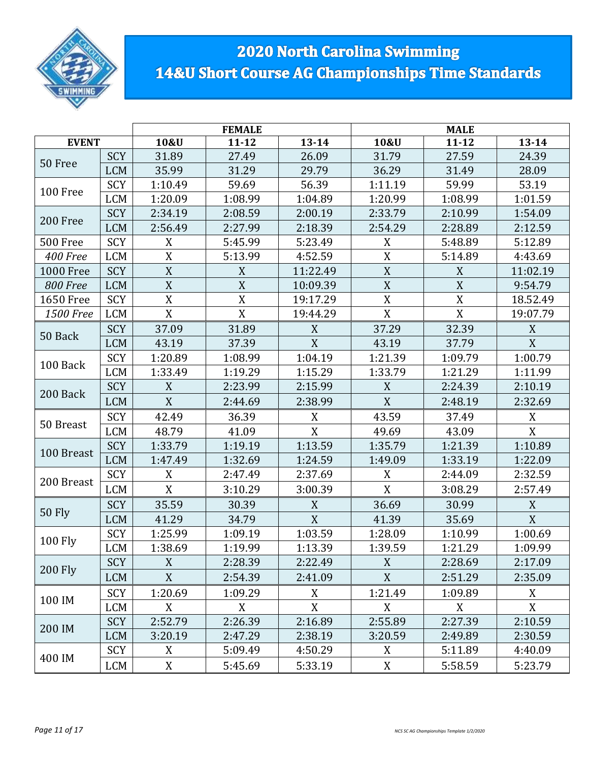

# 2020 North Carolina Swimming 14&U Short Course AG Championships Time Standards

|                  |            |             | <b>FEMALE</b>    |             |             |             |             |
|------------------|------------|-------------|------------------|-------------|-------------|-------------|-------------|
| <b>EVENT</b>     |            | 10&U        | $11 - 12$        | $13 - 14$   | 10&U        | $13 - 14$   |             |
| 50 Free          | <b>SCY</b> | 31.89       | 27.49            | 26.09       | 31.79       | 27.59       | 24.39       |
|                  | <b>LCM</b> | 35.99       | 31.29            | 29.79       | 36.29       | 31.49       | 28.09       |
| 100 Free         | SCY        | 1:10.49     | 59.69            | 56.39       | 1:11.19     | 59.99       | 53.19       |
|                  | <b>LCM</b> | 1:20.09     | 1:08.99          | 1:04.89     | 1:20.99     | 1:08.99     | 1:01.59     |
| 200 Free         | <b>SCY</b> | 2:34.19     | 2:08.59          | 2:00.19     | 2:33.79     | 2:10.99     | 1:54.09     |
|                  | <b>LCM</b> | 2:56.49     | 2:27.99          | 2:18.39     | 2:54.29     | 2:28.89     | 2:12.59     |
| 500 Free         | SCY        | X           | 5:45.99          | 5:23.49     | X           | 5:48.89     | 5:12.89     |
| 400 Free         | <b>LCM</b> | $\mathbf X$ | 5:13.99          | 4:52.59     | X           | 5:14.89     | 4:43.69     |
| <b>1000 Free</b> | SCY        | $\mathbf X$ | $\boldsymbol{X}$ | 11:22.49    | $\mathbf X$ | $\mathbf X$ | 11:02.19    |
| 800 Free         | <b>LCM</b> | $\mathbf X$ | $\mathbf X$      | 10:09.39    | $\mathbf X$ | $\mathbf X$ | 9:54.79     |
| <b>1650 Free</b> | SCY        | $\mathbf X$ | $\overline{X}$   | 19:17.29    | $\mathbf X$ | $\mathbf X$ | 18.52.49    |
| 1500 Free        | <b>LCM</b> | X           | X                | 19:44.29    | X           | X           | 19:07.79    |
|                  | SCY        | 37.09       | 31.89            | X           | 37.29       | 32.39       | X           |
| 50 Back          | <b>LCM</b> | 43.19       | 37.39            | X           | 43.19       | 37.79       | X           |
|                  | SCY        | 1:20.89     | 1:08.99          | 1:04.19     | 1:21.39     | 1:09.79     | 1:00.79     |
| 100 Back         | <b>LCM</b> | 1:33.49     | 1:19.29          | 1:15.29     | 1:33.79     | 1:21.29     | 1:11.99     |
|                  | SCY        | X           | 2:23.99          | 2:15.99     | X           | 2:24.39     | 2:10.19     |
| 200 Back         | <b>LCM</b> | X           | 2:44.69          | 2:38.99     | $\mathbf X$ | 2:48.19     | 2:32.69     |
|                  | SCY        | 42.49       | 36.39            | X           | 43.59       | 37.49       | X           |
| 50 Breast        | <b>LCM</b> | 48.79       | 41.09            | X           | 49.69       | 43.09       | X           |
|                  | SCY        | 1:33.79     | 1:19.19          | 1:13.59     | 1:35.79     | 1:21.39     | 1:10.89     |
| 100 Breast       | <b>LCM</b> | 1:47.49     | 1:32.69          | 1:24.59     | 1:49.09     | 1:33.19     | 1:22.09     |
|                  | SCY        | X           | 2:47.49          | 2:37.69     | X           | 2:44.09     | 2:32.59     |
| 200 Breast       | <b>LCM</b> | X           | 3:10.29          | 3:00.39     | X           | 3:08.29     | 2:57.49     |
|                  | SCY        | 35.59       | 30.39            | X           | 36.69       | 30.99       | X           |
| <b>50 Fly</b>    | <b>LCM</b> | 41.29       | 34.79            | X           | 41.39       | 35.69       | $\mathbf X$ |
|                  | SCY        | 1:25.99     | 1:09.19          | 1:03.59     | 1:28.09     | 1:10.99     | 1:00.69     |
| <b>100 Fly</b>   | LCM        | 1:38.69     | 1:19.99          | 1:13.39     | 1:39.59     | 1:21.29     | 1:09.99     |
|                  | SCY        | X           | 2:28.39          | 2:22.49     | X           | 2:28.69     | 2:17.09     |
| <b>200 Fly</b>   | <b>LCM</b> | X           | 2:54.39          | 2:41.09     | X           | 2:51.29     | 2:35.09     |
|                  | SCY        | 1:20.69     | 1:09.29          | $\mathbf X$ | 1:21.49     | 1:09.89     | $\mathbf X$ |
| 100 IM           | LCM        | X           | X                | X           | X           | X           | X           |
|                  | SCY        | 2:52.79     | 2:26.39          | 2:16.89     | 2:55.89     | 2:27.39     | 2:10.59     |
| 200 IM           | <b>LCM</b> | 3:20.19     | 2:47.29          | 2:38.19     | 3:20.59     | 2:49.89     | 2:30.59     |
|                  | SCY        | X           | 5:09.49          | 4:50.29     | X           | 5:11.89     | 4:40.09     |
| 400 IM           | LCM        | X           | 5:45.69          | 5:33.19     | X           | 5:58.59     | 5:23.79     |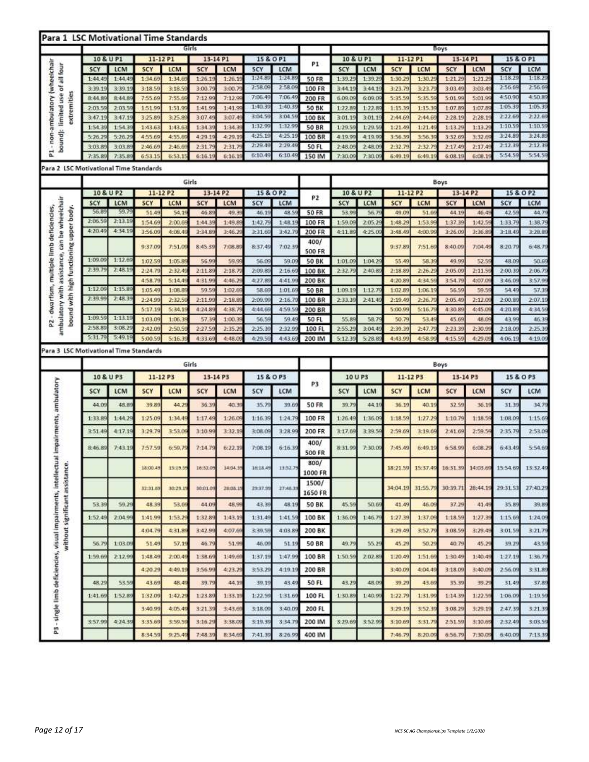| Para 1 LSC Motivational Time Standards                                                                                              |                    |                  |                        |                  |                    |                   |                    |                   |                        |                   |                   |                    |                  |                    |                   |                    |                    |
|-------------------------------------------------------------------------------------------------------------------------------------|--------------------|------------------|------------------------|------------------|--------------------|-------------------|--------------------|-------------------|------------------------|-------------------|-------------------|--------------------|------------------|--------------------|-------------------|--------------------|--------------------|
|                                                                                                                                     |                    |                  |                        |                  | Girls              |                   |                    |                   |                        |                   |                   |                    |                  | Boys               |                   |                    |                    |
|                                                                                                                                     | 10 & U P1          |                  | 11-12 P1               |                  | 13-14 P1           |                   | 15 & O P1          |                   | P1                     | 10 & U P1         |                   | 11-12 P1           |                  | 13-14 P1           |                   |                    | 15 & O P1          |
| - non-ambulatory (wheelchair<br>bound): limited use of all four                                                                     | SCY                | LCM              | <b>SCY</b>             | LCM              | SCY                | LCM               | SCY                | LCM               |                        | SCY               | LCM               | <b>SCY</b>         | <b>LCM</b>       | SCY                | LCM               | SCY                | LCM                |
|                                                                                                                                     | 1:44.49            | 1:44.45          | 1:34.69                | 1:34.0           | 1:26.19            | 1:26.1            | 1:24.8             | 1:24.8            | <b>50 FR</b>           | 1:39.25           | 1:39.29           | 1:30.25            | 1:30.2           | 1:21.25            | 1:21.2            | 1:18.2             | 1:18.29            |
|                                                                                                                                     | 3:39.19            | 3:39.1           | 3:18.59                | 3:18.5           | 3:00.7             | 3:00.7            | 2:58.09            | 2:58.0            | 100 FR                 | 3:44.19           | 3:44.1            | 3:23.79            | 3:23.7           | 3:03.49            | 3:03.4            | 2:56.69            | 2:56.69            |
| extremities                                                                                                                         | 8:44.89            | 8:44.8           | 7:55.69                | 7:55.6           | 7:12.99            | 7:12.9            | 7:06.49            | 7:06.49           | 200 FR                 | 6.09.09           | 6:09.0            | 5:35.5             | 5:35.5           | 5:01.99            | 5:01.9            | 4:50.90            | 4:50.89            |
|                                                                                                                                     | 2:03.59            | 2:03.5           | 1:51.99                | 1:51.99          | 1:41.99            | 1:41.99           | 1:40.39<br>3:04.59 | 1:40.3<br>3:04.59 | 50 BK                  | 1:22.8            | 1:22.8            | 1:15.39            | 1:15.3           | 1:07.89            | 1:07.8            | 1:05.39<br>2:22.65 | 1:05.39<br>2:22.69 |
|                                                                                                                                     | 3:47.19<br>1:54.39 | 3:47.19          | 3:25.89<br>1:43.63     | 3:25.8           | 3:07.49            | 3:07.45<br>1:34.3 | 1:32.99            | 1:32.9            | 100 BK<br><b>50 BR</b> | 3:01.19           | 3:01.19           | 2:44.69            | 2:44.6           | 2:28.19            | 2:28.1            | 1:10.59            | 1:10.59            |
|                                                                                                                                     | 5:26.25            | 1:54.3<br>5:26.2 | 4:55.69                | 1:43.6<br>4:55.6 | 1:34.39<br>4:29.19 | 4:29.1            | 4:25.19            | 4:25.19           | 100 BR                 | 1:29.5<br>4:19.99 | 1:29.5<br>4:19.99 | 1:21.49<br>3:56.35 | 1:21.4<br>3:56.3 | 1:13.29<br>3:32.69 | 1:13.2<br>3:32.69 | 3:24.8             | 3:24.89            |
|                                                                                                                                     | 3:03.89            | 3:03.8           | 2:46.69                | 2:46.6           | 2:31.7             | 2:31.7            | 2:29.45            | 2:29.4            | <b>50 FL</b>           | 2:48.09           | 2:48.0            | 2:32.75            | 2:32.7           | 2:17.49            | 2:17.4            | 2:12.39            | 2:12:39            |
| 2                                                                                                                                   | 7:35.89            | 7:35.8           | 6:53.15                | 6:53.1           | 6:16.1             | 6, 16.1           | 6:10.49            | 6:10.4            | 150 IM                 | 7:30.09           | 7:30,0            | 5:49.1             | 6:49.1           | 6:08.19            | 6:08.1            | 5:54.59            | 5:54.59            |
| Para 2 LSC Motivational Time Standards                                                                                              |                    |                  |                        |                  |                    |                   |                    |                   |                        |                   |                   |                    |                  |                    |                   |                    |                    |
|                                                                                                                                     |                    |                  |                        |                  |                    |                   |                    |                   |                        |                   |                   |                    |                  |                    |                   |                    |                    |
|                                                                                                                                     |                    |                  |                        |                  | Girls              |                   |                    |                   |                        |                   |                   |                    |                  | <b>Boys</b>        |                   |                    |                    |
|                                                                                                                                     | 10 & U P2<br>SCY   | LCM              | 11-12 P2<br><b>SCY</b> | LCM              | 13-14 P2<br>SCY    | LCM               | 15 & O P2<br>SCY   | LCM               | P <sub>2</sub>         | 10 & U P2<br>SCY  | LCM               | 11-12 P2<br>SCY    | LCM              | 13-14 P2<br>SCY    | LCM               | 15 & O P2<br>SCY   | LCM                |
|                                                                                                                                     | 56.8               | 59.7             | 51.49                  | 54.1             | 46.8               | 49.3              | 46.1               | 48.5              | <b>50 FR</b>           | 53.9              | 56.7              | 49.09              | 51.6             | 44.19              | 46.4              | 42.5               | 44.7               |
|                                                                                                                                     | 2:06.59            | 2:13.19          | 1:54.69                | 2:00.6           | 1:44.3             | 1:49.8            | 1:42.7             | 1:48.1            | 100 FR                 | 1:59.09           | 2:05.2            | 1:48.2             | 1:53.9           | 1:37.39            | 1:42.5            | 1:33.7             | 1:38.79            |
|                                                                                                                                     | 4:20.49            | 4:34.19          | 3:56.09                | 4:08.4           | 3:34.8             | 3:46.2            | 3:31.69            | 3:42.7            | 200 FR                 | 4:11.89           | 4:25.09           | 3:48.49            | 4:00.99          | 3:26.09            | 3:36.8            | 3:18.49            | 3:28.89            |
| ambulatory with assistance, can be wheelchair<br>- dwarfism, multiple limb deficiencies,<br>bound with high functioning upper body. |                    |                  |                        |                  |                    |                   |                    |                   | 400/                   |                   |                   |                    |                  |                    |                   |                    |                    |
|                                                                                                                                     |                    |                  | 9:37.09                | 7:51.0           | 8:45.39            | 7:08.89           | 8:37.45            | 7:02.39           | <b>500 FR</b>          |                   |                   | 9:37.89            | 7:51.6           | 8:40.09            | 7:04.49           | 8:20.7             | 6:48.79            |
|                                                                                                                                     | 1:09.09            | 1:12.65          | 1:02.59                | 1:05.8           | 56.99              | 59.9              | 56.09              | 59.09             | <b>50 BK</b>           | 1:01.09           | 1:04.2            | 55.49              | 58.3             | 49.99              | 52.5              | 48.09              | 50.69              |
|                                                                                                                                     | 2:39.79            | 2:48.1           | 2:24.79                | 2:32.4           | 2:11.8             | 2:18.7            | 2:09.89            | 2:16,6            | 100 BK                 | 2:32.79           | 2:40.8            | 2:18.8             | 2:26.25          | 2:05.09            | 2:11.5            | 2:00.39            | 2:06.79            |
|                                                                                                                                     |                    |                  | 4:58.79                | 5:14.4           | 4:31.9             | 4:46.2            | 4:27.85            | 4:41.9            | 200 BK                 |                   |                   | 4:20.85            | 4:34.5           | 3:54.7             | 4:07.0            | 3:46.09            | 3:57.99            |
|                                                                                                                                     | 1:12.09            | 1:15.8           | 1:05.49                | 1:08.8           | 59.5               | 1:02.6            | 58.69              | 1:01.6            | 50 BR                  | 1:09.19           | 1:12.7            | 1:02.89            | 1:06.1           | 56.59              | 59.5              | 54.49              | 57.3               |
|                                                                                                                                     | 2:39.99            | 2:48.3           | 2:24.99                | 2:32.5           | 2:11.99            | 2:18.8            | 2:09.99            | 2:16.79           | 100 BR                 | 2:33.35           | 2:41.49           | 2:19.45            | 2:26.7           | 2:05.49            | 2:12.0            | 2:00.8             | 2:07.19            |
|                                                                                                                                     |                    |                  | 5:17.19                | 5:34.1           | 4:24.8             | 4:38.             | 4:44.66            | 4:59.5            | 200 BR                 |                   |                   | 5:00.9             | 5:16.7           | 4:30.89            | 4:45.0            | 4:20.8             | 4:34.59            |
| 24                                                                                                                                  | 1:09.59            | 1:13.19          | 1:03.09                | 1:06.3           | 57.39              | 1:00.             | 56,59              | 59.4              | 50 FL                  | 55,89             | 58.7              | 50.7               | 53.4             | 45.69              | 48.09             | 43.9               | 46.39              |
|                                                                                                                                     | 2:58.89            | 3:08.2           | 2:42.09                | 2:50.            | 2:27.5             | 2:35.2            | 2:25.3             | 2:32.9            | 100 FL                 | 2:55.29           | 3:04.49           | 2:39.39            | 2:47.7           | 2:23.3             | 2:30.9            | 2:18.05            | 2:25.39            |
|                                                                                                                                     | 5:31.79            | 5:49.1           | 5:00.                  | 5:16.            | 4:33.6             | 4:48.0            | 4:29.59            | 4:43.6            | 200 IM                 | 5:12.39           | 5:28.8            | 4:43.9             | 4:58.9           | 4:15.59            | 4:29.0            | 4:06.1             | 4:19.09            |
| Para 3 LSC Motivational Time Standards                                                                                              |                    |                  |                        |                  |                    |                   |                    |                   |                        |                   |                   |                    |                  |                    |                   |                    |                    |
|                                                                                                                                     |                    |                  |                        |                  | Girls              |                   |                    |                   |                        |                   |                   |                    |                  | Boys               |                   |                    |                    |
|                                                                                                                                     | 10 & U P3          |                  | 11-12 P3               |                  | 13-14 P3           |                   |                    | 15 & O P3         |                        |                   | 10 U P3           | 11-12 P3           |                  | $13 - 14P3$        |                   |                    | 15 & O P3          |
| impairments, ambulatory                                                                                                             | SCY                | LCM              | <b>SCY</b>             | LCM              | 5CY                | LCM               | SCY                | LCM               | P3                     | <b>SCY</b>        | LCM               | SCY                | LCM              | <b>SCY</b>         | LCM               | SCY                | LCM                |
|                                                                                                                                     | 44.09              | 48.8             | 39.89                  | 44.2             | 36.39              | 40.3              | 35.7               | 39.66             | <b>50 FR</b>           | 39.75             | 44.1              | 36.19              | 40.1             | 32.56              | 36.1              | 31.39              | 34.79              |
|                                                                                                                                     |                    |                  |                        |                  |                    |                   |                    |                   |                        |                   |                   |                    |                  |                    |                   |                    |                    |
|                                                                                                                                     | 1:33.8             | 1:44.2           | 1:25.09                | 1:34.4           | 1:17.45            | 1:26.0            | 1:16.39            | 1:24.7            | 100 FR                 | 1:26.49           | 1:36.0            | 1:18.59            | 1:27.2           | 1:10.79            | 1:18.5            | 1:08:09            | 1:15.69            |
|                                                                                                                                     | 3:51.49            | 4:17:1           | 3:29.79                | 3:53.0           | 3:10.99            | 3:32.1            | 3:08.09            | 3:28.9            | 200 FR                 | 3:17.69           | 3:39.5            | 2:59.6             | 3:19.6           | 2:41.69            | 2:59.5            | 2:35.7             | 2:53.09            |
|                                                                                                                                     | 8:46.89            | 7:43.1           | 7:57.59                | 6:59.7           | 7:14.75            | 6:22.1            | 7:08.19            | 6:16.3            | 400/                   | 8:31.99           | 7:30.09           | 7:45:49            | 6:49.1           | 6:58.99            | 6:08.2            | 6:43.4             | 5:54.69            |
| ā                                                                                                                                   |                    |                  |                        |                  |                    |                   |                    |                   | <b>500 FR</b>          |                   |                   |                    |                  |                    |                   |                    |                    |
|                                                                                                                                     |                    |                  | 18:00.49               | 15:19.59         | 16:32.09           | 14:04.39          | 16:18.49           | 13:52.79          | 800/                   |                   |                   | 18:21.59           | 15:37.49         | 16:31.39           | 14:03.69          | 15:54.69           | 13:32.49           |
|                                                                                                                                     |                    |                  |                        |                  |                    |                   |                    |                   | 1000 FR                |                   |                   |                    |                  |                    |                   |                    |                    |
|                                                                                                                                     |                    |                  | 32:31.69               | 30:29.1          | 30:01.09           | 28:06.15          | 29:37.99           | 27:46.39          | 1500/                  |                   |                   | 34:04.19           | 31:55.7          | 30:39.71           | 28:44.1           | 29:31.53           | 27:40.29           |
| without significant assistance                                                                                                      |                    |                  |                        |                  |                    |                   |                    |                   | 1650 FR                |                   |                   |                    |                  |                    |                   |                    |                    |
|                                                                                                                                     | 53.39              | 59.2             | 48.39                  | 53.69            | 44.09              | 48.99             | 43.39              | 48.19             | <b>50 BK</b>           | 45.59             | 50.69             | 41.49              | 46.09            | 37,29              | 41.45             | 35.89              | 39.89              |
|                                                                                                                                     | 1:52.49            | 2:04.99          | 1:41.99                | 1:53.2           | 1:32.89            | 1:43.1            | 1:31.49            | 1:41.5            | 100 BK                 | 1:36.09           | 1:46.7            | 1:27.35            | 1:37.09          | 1:18.56            | 1:27.35           | 1:15.69            | 1:24.09            |
|                                                                                                                                     |                    |                  | 4:04.79                | 4:31.85          | 3:42.99            | 4:07.69           | 3:39.56            | 4:03.85           | 200 BK                 |                   |                   | 3:29.49            | 3:52.7           | 3:08.59            | 3:29.49           | 3:01.59            | 3:21.79            |
|                                                                                                                                     |                    |                  |                        |                  |                    |                   |                    |                   |                        |                   |                   |                    |                  |                    |                   |                    |                    |
|                                                                                                                                     | 56.79              | 1:03.05          | 51.49                  | 57.19            | 46.79              | 51.99             | 46.09              | 51.19             | 50 BR                  | 49.79             | 55.29             | 45.29              | 50.29            | 40.79              | 45.29             | 39.29              | 43.59              |
|                                                                                                                                     | 1:59.66            | 2:12.99          | 1:48.49                | 2:00.4           | 1:38.69            | 1:49.66           | 1:37.19            | 1:47.9            | 100 BR                 | 1:50.56           | 2:02.86           | 1:20.49            | 1:51.6           | 1:30.49            | 1:40.49           | 1:27.19            | 1:36.79            |
|                                                                                                                                     |                    |                  | 4:20.29                | 4:49.1           | 3:56.99            | 4:23.25           | 3:53.25            | 4:19.19           | 200 BR                 |                   |                   | 3:40.09            | 4:04.4           | 3:18.09            | 3:40.09           | 2:56.09            | 3:31.89            |
|                                                                                                                                     |                    |                  |                        |                  |                    |                   |                    |                   |                        |                   |                   |                    |                  |                    |                   |                    |                    |
|                                                                                                                                     | 48.29              | 53.59            | 43.69                  | 48.49            | 39.79              | 44.35             | 39.19              | 43.49             | 50 FL                  | 43.25             | 48.09             | 39.29              | 43,69            | 35.39              | 39.29             | 31.49              | 37.89              |
| P3 - single limb deficiencies, visual impairments, intellectu                                                                       | 1:41.69            | 1:52.89          | 1:32.09                | 1:42.25          | 1:23.89            | 1:33.19           | 1:22.56            | 1:31.60           | 100 FL                 | 1:30.89           | 1:40.96           | 1:22.75            | 1:31.99          | 1:14.39            | 1:22.5!           | 1:06.09            | 1:19.56            |
|                                                                                                                                     |                    |                  | 3:40.99                | 4:05.4           | 3:21.39            | 3,43,66           | 3:18.09            | 3:40.0            | 200 FL                 |                   |                   | 3:29.19            | 3:52.3           | 3:08.29            | 3:29.1            | 2:47.35            | 3:21.39            |
|                                                                                                                                     | 3:57.99            | 4:24.39          | 3:35.69                | 3:59.5           | 3:16.29            | 3:38.09           | 3:19.39            | 3:34.7            | 200 IM                 | 3:29.69           | 3:52.9            | 3:10.66            | 3:31.7           | 2:51.59            | 3:10.65           | 2:32.49            | 3:03.59            |
|                                                                                                                                     |                    |                  |                        |                  |                    |                   |                    |                   |                        |                   |                   |                    |                  |                    |                   |                    |                    |
|                                                                                                                                     |                    |                  | 8:34.59                | 9:25.49          | 7:48.39            | B:34.69           | 7:41.35            | 8:26.99           | 400 IM                 |                   |                   | 7.46.79            | 8:20.0           | 6:56.79            | 7:30,0            | 6:40.09            | 7:13.39            |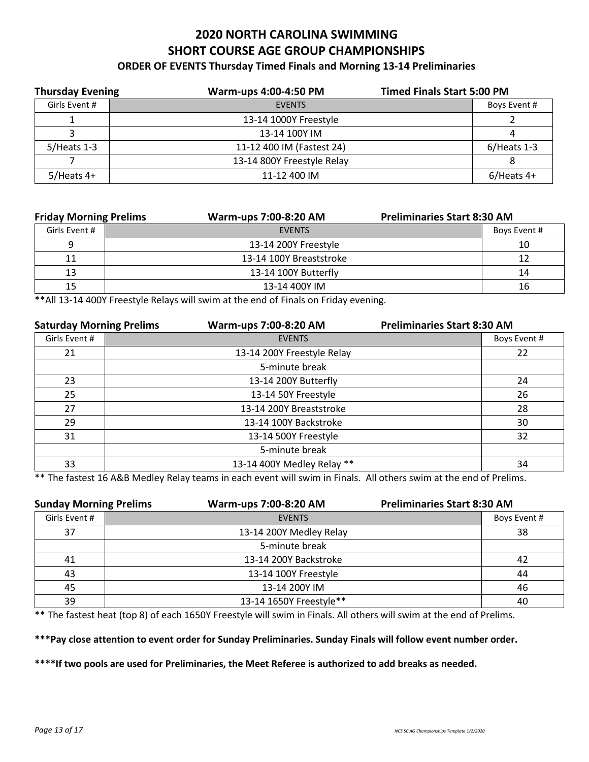### **2020 NORTH CAROLINA SWIMMING SHORT COURSE AGE GROUP CHAMPIONSHIPS ORDER OF EVENTS Thursday Timed Finals and Morning 13-14 Preliminaries**

| <b>Thursday Evening</b> | Warm-ups 4:00-4:50 PM      | <b>Timed Finals Start 5:00 PM</b> |
|-------------------------|----------------------------|-----------------------------------|
| Girls Event #           | <b>EVENTS</b>              | Boys Event #                      |
|                         | 13-14 1000Y Freestyle      |                                   |
|                         | 13-14 100Y IM              | 4                                 |
| $5/$ Heats 1-3          | 11-12 400 IM (Fastest 24)  | $6/$ Heats 1-3                    |
|                         | 13-14 800Y Freestyle Relay | 8                                 |
| $5/$ Heats 4+           | 11-12 400 IM               | $6/$ Heats 4+                     |
|                         |                            |                                   |

| <b>Friday Morning Prelims</b> |  | Warm-ups 7:00-8:20 AM   |              | <b>Preliminaries Start 8:30 AM</b> |  |  |
|-------------------------------|--|-------------------------|--------------|------------------------------------|--|--|
| Girls Event #                 |  | <b>FVFNTS</b>           | Boys Event # |                                    |  |  |
|                               |  | 13-14 200Y Freestyle    | 10           |                                    |  |  |
| 11                            |  | 13-14 100Y Breaststroke |              |                                    |  |  |
| 13                            |  | 13-14 100Y Butterfly    |              | 14                                 |  |  |
| 15                            |  | 13-14 400Y IM           |              |                                    |  |  |

\*\*All 13-14 400Y Freestyle Relays will swim at the end of Finals on Friday evening.

| <b>Saturday Morning Prelims</b> | Warm-ups 7:00-8:20 AM      | <b>Preliminaries Start 8:30 AM</b> |              |
|---------------------------------|----------------------------|------------------------------------|--------------|
| Girls Event #                   | <b>EVENTS</b>              |                                    | Boys Event # |
| 21                              | 13-14 200Y Freestyle Relay |                                    | 22           |
|                                 | 5-minute break             |                                    |              |
| 23                              | 13-14 200Y Butterfly       |                                    | 24           |
| 25                              | 13-14 50Y Freestyle        |                                    | 26           |
| 27                              | 13-14 200Y Breaststroke    |                                    | 28           |
| 29                              | 13-14 100Y Backstroke      |                                    | 30           |
| 31                              | 13-14 500Y Freestyle       |                                    | 32           |
|                                 | 5-minute break             |                                    |              |
| 33                              | 13-14 400Y Medley Relay ** |                                    | 34           |

\*\* The fastest 16 A&B Medley Relay teams in each event will swim in Finals. All others swim at the end of Prelims.

| <b>Sunday Morning Prelims</b> | Warm-ups 7:00-8:20 AM   | <b>Preliminaries Start 8:30 AM</b> |              |
|-------------------------------|-------------------------|------------------------------------|--------------|
| Girls Event #                 | <b>EVENTS</b>           |                                    | Boys Event # |
| 37                            | 13-14 200Y Medley Relay |                                    | 38           |
|                               | 5-minute break          |                                    |              |
| 41                            | 13-14 200Y Backstroke   |                                    | 42           |
| 43                            | 13-14 100Y Freestyle    |                                    | 44           |
| 45                            | 13-14 200Y IM           |                                    | 46           |
| 39                            | 13-14 1650Y Freestyle** |                                    | 40           |

\*\* The fastest heat (top 8) of each 1650Y Freestyle will swim in Finals. All others will swim at the end of Prelims.

#### **\*\*\*Pay close attention to event order for Sunday Preliminaries. Sunday Finals will follow event number order.**

**\*\*\*\*If two pools are used for Preliminaries, the Meet Referee is authorized to add breaks as needed.**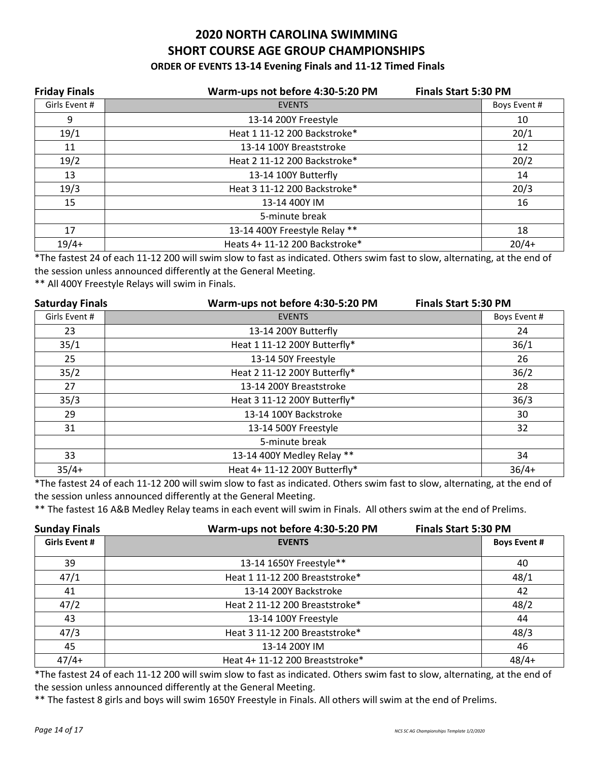### **2020 NORTH CAROLINA SWIMMING SHORT COURSE AGE GROUP CHAMPIONSHIPS ORDER OF EVENTS 13-14 Evening Finals and 11-12 Timed Finals**

| <b>Friday Finals</b> | Warm-ups not before 4:30-5:20 PM<br><b>Finals Start 5:30 PM</b> |              |
|----------------------|-----------------------------------------------------------------|--------------|
| Girls Event #        | <b>EVENTS</b>                                                   | Boys Event # |
| 9                    | 13-14 200Y Freestyle                                            | 10           |
| 19/1                 | Heat 1 11-12 200 Backstroke*                                    | 20/1         |
| 11                   | 13-14 100Y Breaststroke                                         | 12           |
| 19/2                 | Heat 2 11-12 200 Backstroke*                                    | 20/2         |
| 13                   | 13-14 100Y Butterfly                                            | 14           |
| 19/3                 | Heat 3 11-12 200 Backstroke*                                    | 20/3         |
| 15                   | 13-14 400Y IM                                                   | 16           |
|                      | 5-minute break                                                  |              |
| 17                   | 13-14 400Y Freestyle Relay **                                   | 18           |
| $19/4+$              | Heats 4+ 11-12 200 Backstroke*                                  | $20/4+$      |

\*The fastest 24 of each 11-12 200 will swim slow to fast as indicated. Others swim fast to slow, alternating, at the end of the session unless announced differently at the General Meeting.

\*\* All 400Y Freestyle Relays will swim in Finals.

| <b>Saturday Finals</b> | Warm-ups not before 4:30-5:20 PM | <b>Finals Start 5:30 PM</b> |
|------------------------|----------------------------------|-----------------------------|
| Girls Event #          | <b>EVENTS</b>                    | Boys Event #                |
| 23                     | 13-14 200Y Butterfly             | 24                          |
| 35/1                   | Heat 1 11-12 200Y Butterfly*     | 36/1                        |
| 25                     | 13-14 50Y Freestyle              | 26                          |
| 35/2                   | Heat 2 11-12 200Y Butterfly*     | 36/2                        |
| 27                     | 13-14 200Y Breaststroke          | 28                          |
| 35/3                   | Heat 3 11-12 200Y Butterfly*     | 36/3                        |
| 29                     | 13-14 100Y Backstroke            | 30                          |
| 31                     | 13-14 500Y Freestyle             | 32                          |
|                        | 5-minute break                   |                             |
| 33                     | 13-14 400Y Medley Relay **       | 34                          |
| $35/4+$                | Heat 4+ 11-12 200Y Butterfly*    | $36/4+$                     |

\*The fastest 24 of each 11-12 200 will swim slow to fast as indicated. Others swim fast to slow, alternating, at the end of the session unless announced differently at the General Meeting.

\*\* The fastest 16 A&B Medley Relay teams in each event will swim in Finals. All others swim at the end of Prelims.

| <b>Sunday Finals</b> | Warm-ups not before 4:30-5:20 PM | <b>Finals Start 5:30 PM</b> |  |
|----------------------|----------------------------------|-----------------------------|--|
| <b>Girls Event #</b> | <b>EVENTS</b>                    | <b>Boys Event #</b>         |  |
| 39                   | 13-14 1650Y Freestyle**          | 40                          |  |
| 47/1                 | Heat 1 11-12 200 Breaststroke*   | 48/1                        |  |
| 41                   | 13-14 200Y Backstroke            | 42                          |  |
| 47/2                 | Heat 2 11-12 200 Breaststroke*   | 48/2                        |  |
| 43                   | 13-14 100Y Freestyle             | 44                          |  |
| 47/3                 | Heat 3 11-12 200 Breaststroke*   | 48/3                        |  |
| 45                   | 13-14 200Y IM                    | 46                          |  |
| $47/4+$              | Heat 4+ 11-12 200 Breaststroke*  | $48/4+$                     |  |

\*The fastest 24 of each 11-12 200 will swim slow to fast as indicated. Others swim fast to slow, alternating, at the end of the session unless announced differently at the General Meeting.

\*\* The fastest 8 girls and boys will swim 1650Y Freestyle in Finals. All others will swim at the end of Prelims.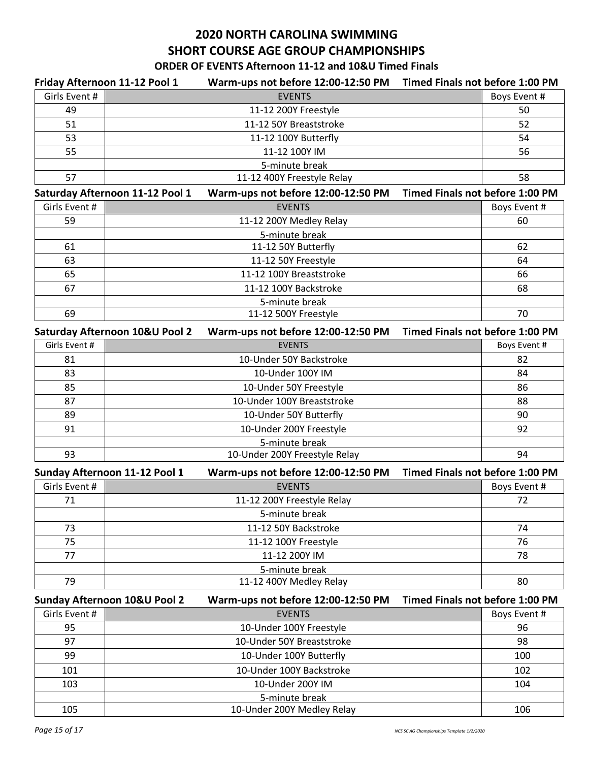## **2020 NORTH CAROLINA SWIMMING SHORT COURSE AGE GROUP CHAMPIONSHIPS**

## **ORDER OF EVENTS Afternoon 11-12 and 10&U Timed Finals**

| Friday Afternoon 11-12 Pool 1   | Warm-ups not before 12:00-12:50 PM Timed Finals not before 1:00 PM |                                        |              |
|---------------------------------|--------------------------------------------------------------------|----------------------------------------|--------------|
| Girls Event #                   | <b>EVENTS</b>                                                      |                                        | Boys Event # |
| 49                              | 11-12 200Y Freestyle                                               |                                        | 50           |
| 51                              | 11-12 50Y Breaststroke                                             |                                        | 52           |
| 53                              | 11-12 100Y Butterfly                                               |                                        | 54           |
| 55                              | 11-12 100Y IM                                                      |                                        | 56           |
|                                 | 5-minute break                                                     |                                        |              |
| 57                              | 11-12 400Y Freestyle Relay                                         |                                        | 58           |
| Saturday Afternoon 11-12 Pool 1 | Warm-ups not before 12:00-12:50 PM                                 | <b>Timed Finals not before 1:00 PM</b> |              |
| Girls Event #                   | <b>EVENTS</b>                                                      |                                        | Boys Event # |
| 59                              | 11-12 200Y Medley Relay                                            |                                        | 60           |
|                                 | 5-minute break                                                     |                                        |              |
| 61                              | 11-12 50Y Butterfly                                                |                                        | 62           |
| 63                              | 11-12 50Y Freestyle                                                |                                        | 64           |
| 65                              | 11-12 100Y Breaststroke                                            |                                        | 66           |
| 67                              | 11-12 100Y Backstroke                                              |                                        | 68           |
|                                 | 5-minute break                                                     |                                        |              |
| 69                              | 11-12 500Y Freestyle                                               |                                        | 70           |
| Saturday Afternoon 10&U Pool 2  | Warm-ups not before 12:00-12:50 PM                                 | Timed Finals not before 1:00 PM        |              |
| Girls Event #                   | <b>EVENTS</b>                                                      |                                        | Boys Event # |
| 81                              | 10-Under 50Y Backstroke                                            |                                        | 82           |
| 83                              | 10-Under 100Y IM                                                   |                                        | 84           |
| 85                              | 10-Under 50Y Freestyle                                             |                                        | 86           |
| 87                              | 10-Under 100Y Breaststroke                                         |                                        | 88           |
| 89                              | 10-Under 50Y Butterfly                                             |                                        | 90           |
| 91                              | 10-Under 200Y Freestyle                                            |                                        | 92           |
|                                 | 5-minute break                                                     |                                        |              |
| 93                              | 10-Under 200Y Freestyle Relay                                      |                                        | 94           |
| Sunday Afternoon 11-12 Pool 1   | Warm-ups not before 12:00-12:50 PM                                 | <b>Timed Finals not before 1:00 PM</b> |              |
| Girls Event #                   | <b>EVENTS</b>                                                      |                                        | Boys Event # |
| 71                              | 11-12 200Y Freestyle Relay                                         |                                        | 72           |
|                                 | 5-minute break                                                     |                                        |              |
| 73                              | 11-12 50Y Backstroke                                               |                                        | 74           |
| 75                              | 11-12 100Y Freestyle                                               |                                        | 76           |
| 77                              | 11-12 200Y IM                                                      |                                        | 78           |
|                                 | 5-minute break                                                     |                                        |              |
| 79                              | 11-12 400Y Medley Relay                                            |                                        | 80           |
| Sunday Afternoon 10&U Pool 2    | Warm-ups not before 12:00-12:50 PM                                 | <b>Timed Finals not before 1:00 PM</b> |              |
| Girls Event #                   | <b>EVENTS</b>                                                      |                                        | Boys Event # |
| 95                              | 10-Under 100Y Freestyle                                            |                                        | 96           |
| 97                              | 10-Under 50Y Breaststroke                                          |                                        | 98           |
| 99                              | 10-Under 100Y Butterfly                                            |                                        | 100          |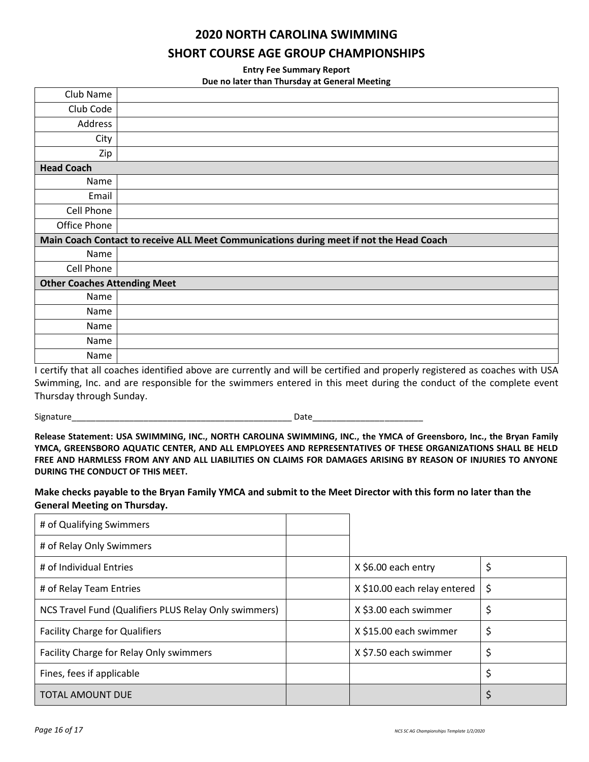#### **2020 NORTH CAROLINA SWIMMING**

#### **SHORT COURSE AGE GROUP CHAMPIONSHIPS**

**Entry Fee Summary Report** 

|  | Due no later than Thursday at General Meeting |  |
|--|-----------------------------------------------|--|
|--|-----------------------------------------------|--|

| Club Name                           |                                                                                         |
|-------------------------------------|-----------------------------------------------------------------------------------------|
| Club Code                           |                                                                                         |
| Address                             |                                                                                         |
| City                                |                                                                                         |
| Zip                                 |                                                                                         |
| <b>Head Coach</b>                   |                                                                                         |
| Name                                |                                                                                         |
| Email                               |                                                                                         |
| Cell Phone                          |                                                                                         |
| Office Phone                        |                                                                                         |
|                                     | Main Coach Contact to receive ALL Meet Communications during meet if not the Head Coach |
| Name                                |                                                                                         |
| Cell Phone                          |                                                                                         |
| <b>Other Coaches Attending Meet</b> |                                                                                         |
| Name                                |                                                                                         |
| Name                                |                                                                                         |
| Name                                |                                                                                         |
| Name                                |                                                                                         |
| Name                                |                                                                                         |

I certify that all coaches identified above are currently and will be certified and properly registered as coaches with USA Swimming, Inc. and are responsible for the swimmers entered in this meet during the conduct of the complete event Thursday through Sunday.

Signature\_\_\_\_\_\_\_\_\_\_\_\_\_\_\_\_\_\_\_\_\_\_\_\_\_\_\_\_\_\_\_\_\_\_\_\_\_\_\_\_\_\_\_\_\_\_ Date\_\_\_\_\_\_\_\_\_\_\_\_\_\_\_\_\_\_\_\_\_\_\_

**Release Statement: USA SWIMMING, INC., NORTH CAROLINA SWIMMING, INC., the YMCA of Greensboro, Inc., the Bryan Family YMCA, GREENSBORO AQUATIC CENTER, AND ALL EMPLOYEES AND REPRESENTATIVES OF THESE ORGANIZATIONS SHALL BE HELD FREE AND HARMLESS FROM ANY AND ALL LIABILITIES ON CLAIMS FOR DAMAGES ARISING BY REASON OF INJURIES TO ANYONE DURING THE CONDUCT OF THIS MEET.**

**Make checks payable to the Bryan Family YMCA and submit to the Meet Director with this form no later than the General Meeting on Thursday.**

| # of Qualifying Swimmers                              |                                   |    |
|-------------------------------------------------------|-----------------------------------|----|
| # of Relay Only Swimmers                              |                                   |    |
| # of Individual Entries                               | X \$6.00 each entry               |    |
| # of Relay Team Entries                               | X \$10.00 each relay entered   \$ |    |
| NCS Travel Fund (Qualifiers PLUS Relay Only swimmers) | X \$3.00 each swimmer             | \$ |
| <b>Facility Charge for Qualifiers</b>                 | X \$15.00 each swimmer            | \$ |
| Facility Charge for Relay Only swimmers               | X \$7.50 each swimmer             | \$ |
| Fines, fees if applicable                             |                                   | \$ |
| <b>TOTAL AMOUNT DUE</b>                               |                                   |    |